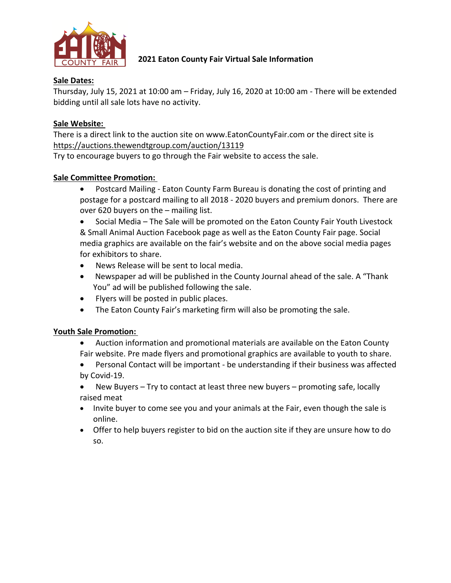

# **2021 Eaton County Fair Virtual Sale Information**

# **Sale Dates:**

Thursday, July 15, 2021 at 10:00 am – Friday, July 16, 2020 at 10:00 am - There will be extended bidding until all sale lots have no activity.

# **Sale Website:**

There is a direct link to the auction site on www.EatonCountyFair.com or the direct site is https://auctions.thewendtgroup.com/auction/13119

Try to encourage buyers to go through the Fair website to access the sale.

# **Sale Committee Promotion:**

• Postcard Mailing - Eaton County Farm Bureau is donating the cost of printing and postage for a postcard mailing to all 2018 - 2020 buyers and premium donors. There are over 620 buyers on the – mailing list.

• Social Media – The Sale will be promoted on the Eaton County Fair Youth Livestock & Small Animal Auction Facebook page as well as the Eaton County Fair page. Social media graphics are available on the fair's website and on the above social media pages for exhibitors to share.

- News Release will be sent to local media.
- Newspaper ad will be published in the County Journal ahead of the sale. A "Thank You" ad will be published following the sale.
- Flyers will be posted in public places.
- The Eaton County Fair's marketing firm will also be promoting the sale.

## **Youth Sale Promotion:**

- Auction information and promotional materials are available on the Eaton County Fair website. Pre made flyers and promotional graphics are available to youth to share.
- Personal Contact will be important be understanding if their business was affected by Covid-19.
- New Buyers Try to contact at least three new buyers promoting safe, locally raised meat
- Invite buyer to come see you and your animals at the Fair, even though the sale is online.
- Offer to help buyers register to bid on the auction site if they are unsure how to do so.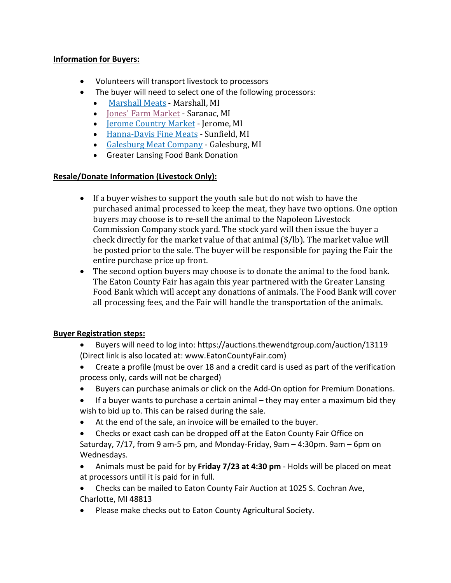## **Information for Buyers:**

- Volunteers will transport livestock to processors
- The buyer will need to select one of the following processors:
	- Marshall Meats Marshall, MI
	- Jones' Farm Market Saranac, MI
	- Jerome Country Market Jerome, MI
	- Hanna-Davis Fine Meats Sunfield, MI
	- Galesburg Meat Company Galesburg, MI
	- Greater Lansing Food Bank Donation

## **Resale/Donate Information (Livestock Only):**

- If a buyer wishes to support the youth sale but do not wish to have the purchased animal processed to keep the meat, they have two options. One option buyers may choose is to re-sell the animal to the Napoleon Livestock Commission Company stock yard. The stock yard will then issue the buyer a check directly for the market value of that animal  $(\frac{1}{2})$ . The market value will be posted prior to the sale. The buyer will be responsible for paying the Fair the entire purchase price up front.
- The second option buyers may choose is to donate the animal to the food bank. The Eaton County Fair has again this year partnered with the Greater Lansing Food Bank which will accept any donations of animals. The Food Bank will cover all processing fees, and the Fair will handle the transportation of the animals.

## **Buyer Registration steps:**

- Buyers will need to log into: https://auctions.thewendtgroup.com/auction/13119 (Direct link is also located at: www.EatonCountyFair.com)
- Create a profile (must be over 18 and a credit card is used as part of the verification process only, cards will not be charged)
- Buyers can purchase animals or click on the Add-On option for Premium Donations.
- If a buyer wants to purchase a certain animal they may enter a maximum bid they wish to bid up to. This can be raised during the sale.
- At the end of the sale, an invoice will be emailed to the buyer.
- Checks or exact cash can be dropped off at the Eaton County Fair Office on
- Saturday, 7/17, from 9 am-5 pm, and Monday-Friday, 9am 4:30pm. 9am 6pm on Wednesdays.
- Animals must be paid for by **Friday 7/23 at 4:30 pm** Holds will be placed on meat at processors until it is paid for in full.
- Checks can be mailed to Eaton County Fair Auction at 1025 S. Cochran Ave, Charlotte, MI 48813
- Please make checks out to Eaton County Agricultural Society.